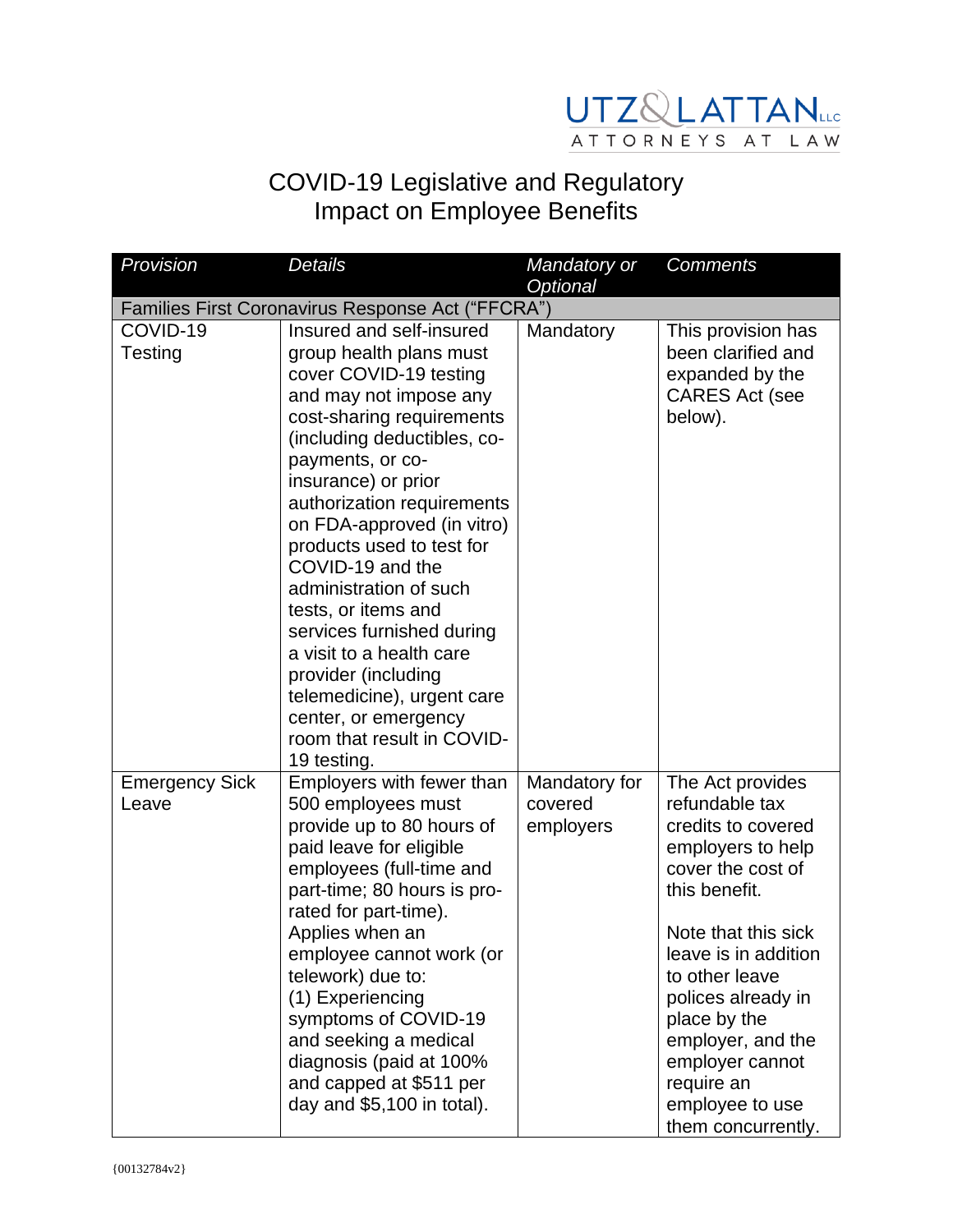

## COVID-19 Legislative and Regulatory Impact on Employee Benefits

| Provision                      | <b>Details</b>                                                                                                                                                                                                                                                                                                                                                                                                                                                                                                                                                  | Mandatory or                          | <b>Comments</b>                                                                                                                                                                                                                                                                                                           |
|--------------------------------|-----------------------------------------------------------------------------------------------------------------------------------------------------------------------------------------------------------------------------------------------------------------------------------------------------------------------------------------------------------------------------------------------------------------------------------------------------------------------------------------------------------------------------------------------------------------|---------------------------------------|---------------------------------------------------------------------------------------------------------------------------------------------------------------------------------------------------------------------------------------------------------------------------------------------------------------------------|
|                                |                                                                                                                                                                                                                                                                                                                                                                                                                                                                                                                                                                 | <b>Optional</b>                       |                                                                                                                                                                                                                                                                                                                           |
|                                | Families First Coronavirus Response Act ("FFCRA")                                                                                                                                                                                                                                                                                                                                                                                                                                                                                                               |                                       |                                                                                                                                                                                                                                                                                                                           |
| COVID-19<br>Testing            | Insured and self-insured<br>group health plans must<br>cover COVID-19 testing<br>and may not impose any<br>cost-sharing requirements<br>(including deductibles, co-<br>payments, or co-<br>insurance) or prior<br>authorization requirements<br>on FDA-approved (in vitro)<br>products used to test for<br>COVID-19 and the<br>administration of such<br>tests, or items and<br>services furnished during<br>a visit to a health care<br>provider (including<br>telemedicine), urgent care<br>center, or emergency<br>room that result in COVID-<br>19 testing. | Mandatory                             | This provision has<br>been clarified and<br>expanded by the<br><b>CARES Act (see</b><br>below).                                                                                                                                                                                                                           |
| <b>Emergency Sick</b><br>Leave | Employers with fewer than<br>500 employees must<br>provide up to 80 hours of<br>paid leave for eligible<br>employees (full-time and<br>part-time; 80 hours is pro-<br>rated for part-time).<br>Applies when an<br>employee cannot work (or<br>telework) due to:<br>(1) Experiencing<br>symptoms of COVID-19<br>and seeking a medical<br>diagnosis (paid at 100%<br>and capped at \$511 per<br>day and \$5,100 in total).                                                                                                                                        | Mandatory for<br>covered<br>employers | The Act provides<br>refundable tax<br>credits to covered<br>employers to help<br>cover the cost of<br>this benefit.<br>Note that this sick<br>leave is in addition<br>to other leave<br>polices already in<br>place by the<br>employer, and the<br>employer cannot<br>require an<br>employee to use<br>them concurrently. |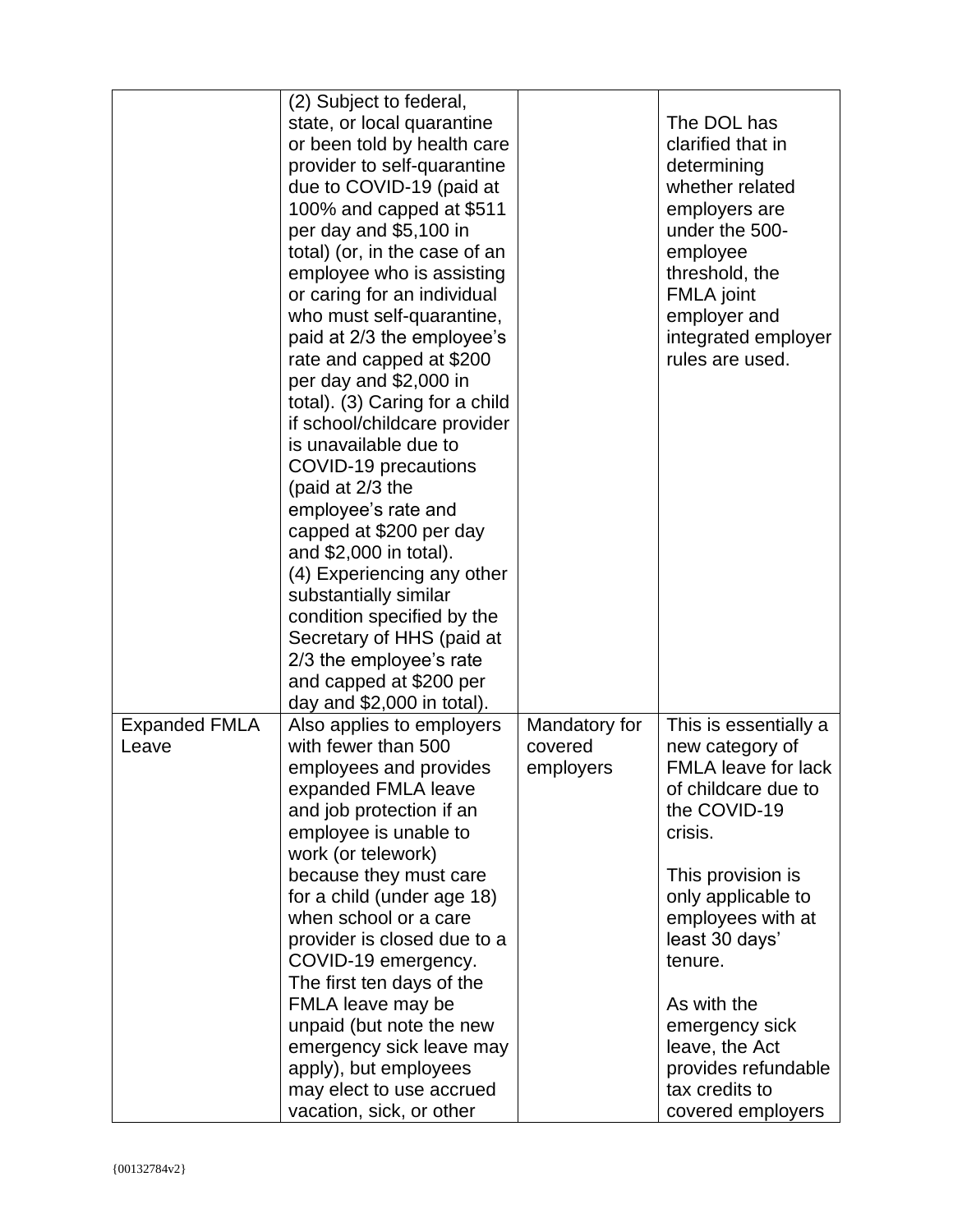|                      | (2) Subject to federal,<br>state, or local quarantine<br>or been told by health care<br>provider to self-quarantine<br>due to COVID-19 (paid at<br>100% and capped at \$511<br>per day and \$5,100 in<br>total) (or, in the case of an<br>employee who is assisting<br>or caring for an individual<br>who must self-quarantine,<br>paid at 2/3 the employee's<br>rate and capped at \$200<br>per day and \$2,000 in<br>total). (3) Caring for a child<br>if school/childcare provider<br>is unavailable due to<br>COVID-19 precautions<br>(paid at 2/3 the<br>employee's rate and<br>capped at \$200 per day<br>and \$2,000 in total).<br>(4) Experiencing any other<br>substantially similar<br>condition specified by the<br>Secretary of HHS (paid at<br>2/3 the employee's rate<br>and capped at \$200 per<br>day and \$2,000 in total). |                          | The DOL has<br>clarified that in<br>determining<br>whether related<br>employers are<br>under the 500-<br>employee<br>threshold, the<br><b>FMLA</b> joint<br>employer and<br>integrated employer<br>rules are used. |
|----------------------|----------------------------------------------------------------------------------------------------------------------------------------------------------------------------------------------------------------------------------------------------------------------------------------------------------------------------------------------------------------------------------------------------------------------------------------------------------------------------------------------------------------------------------------------------------------------------------------------------------------------------------------------------------------------------------------------------------------------------------------------------------------------------------------------------------------------------------------------|--------------------------|--------------------------------------------------------------------------------------------------------------------------------------------------------------------------------------------------------------------|
| <b>Expanded FMLA</b> | Also applies to employers                                                                                                                                                                                                                                                                                                                                                                                                                                                                                                                                                                                                                                                                                                                                                                                                                    | Mandatory for<br>covered | This is essentially a                                                                                                                                                                                              |
| Leave                | with fewer than 500<br>employees and provides<br>expanded FMLA leave<br>and job protection if an<br>employee is unable to<br>work (or telework)                                                                                                                                                                                                                                                                                                                                                                                                                                                                                                                                                                                                                                                                                              | employers                | new category of<br><b>FMLA leave for lack</b><br>of childcare due to<br>the COVID-19<br>crisis.                                                                                                                    |
|                      | because they must care<br>for a child (under age 18)<br>when school or a care<br>provider is closed due to a<br>COVID-19 emergency.<br>The first ten days of the                                                                                                                                                                                                                                                                                                                                                                                                                                                                                                                                                                                                                                                                             |                          | This provision is<br>only applicable to<br>employees with at<br>least 30 days'<br>tenure.                                                                                                                          |
|                      | FMLA leave may be<br>unpaid (but note the new<br>emergency sick leave may<br>apply), but employees<br>may elect to use accrued<br>vacation, sick, or other                                                                                                                                                                                                                                                                                                                                                                                                                                                                                                                                                                                                                                                                                   |                          | As with the<br>emergency sick<br>leave, the Act<br>provides refundable<br>tax credits to<br>covered employers                                                                                                      |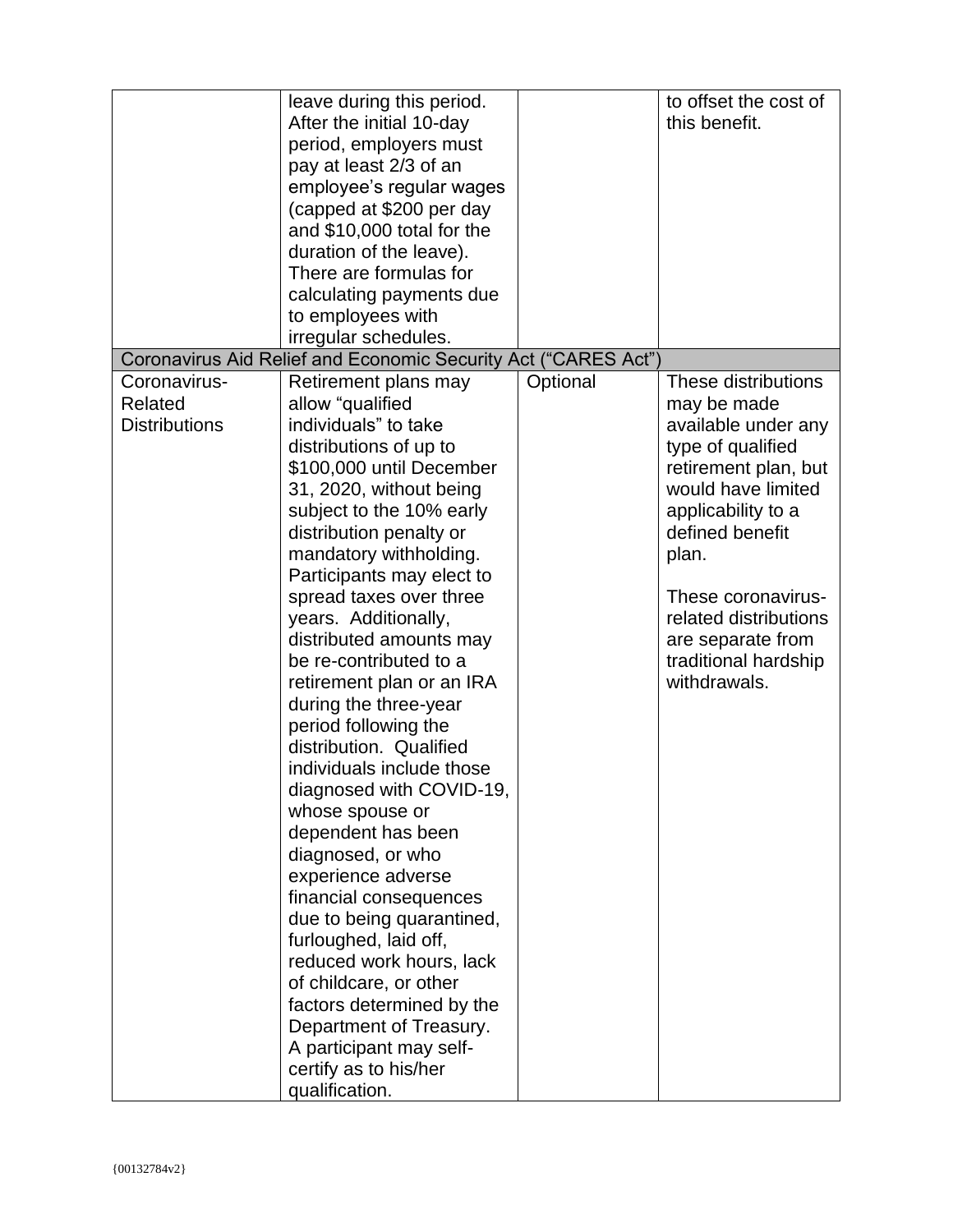|                                                 | leave during this period.<br>After the initial 10-day<br>period, employers must<br>pay at least 2/3 of an<br>employee's regular wages<br>(capped at \$200 per day<br>and \$10,000 total for the<br>duration of the leave).                                                                                                                                                                                                                                                                                                                                                                                                                                                                                                                                                                                                                                                                        |          | to offset the cost of<br>this benefit.                                                                                                                                                                                                                                                     |
|-------------------------------------------------|---------------------------------------------------------------------------------------------------------------------------------------------------------------------------------------------------------------------------------------------------------------------------------------------------------------------------------------------------------------------------------------------------------------------------------------------------------------------------------------------------------------------------------------------------------------------------------------------------------------------------------------------------------------------------------------------------------------------------------------------------------------------------------------------------------------------------------------------------------------------------------------------------|----------|--------------------------------------------------------------------------------------------------------------------------------------------------------------------------------------------------------------------------------------------------------------------------------------------|
|                                                 | There are formulas for<br>calculating payments due                                                                                                                                                                                                                                                                                                                                                                                                                                                                                                                                                                                                                                                                                                                                                                                                                                                |          |                                                                                                                                                                                                                                                                                            |
|                                                 | to employees with<br>irregular schedules.                                                                                                                                                                                                                                                                                                                                                                                                                                                                                                                                                                                                                                                                                                                                                                                                                                                         |          |                                                                                                                                                                                                                                                                                            |
|                                                 | Coronavirus Aid Relief and Economic Security Act ("CARES Act")                                                                                                                                                                                                                                                                                                                                                                                                                                                                                                                                                                                                                                                                                                                                                                                                                                    |          |                                                                                                                                                                                                                                                                                            |
| Coronavirus-<br>Related<br><b>Distributions</b> | Retirement plans may<br>allow "qualified<br>individuals" to take<br>distributions of up to<br>\$100,000 until December<br>31, 2020, without being<br>subject to the 10% early<br>distribution penalty or<br>mandatory withholding.<br>Participants may elect to<br>spread taxes over three<br>years. Additionally,<br>distributed amounts may<br>be re-contributed to a<br>retirement plan or an IRA<br>during the three-year<br>period following the<br>distribution. Qualified<br>individuals include those<br>diagnosed with COVID-19,<br>whose spouse or<br>dependent has been<br>diagnosed, or who<br>experience adverse<br>financial consequences<br>due to being quarantined,<br>furloughed, laid off,<br>reduced work hours, lack<br>of childcare, or other<br>factors determined by the<br>Department of Treasury.<br>A participant may self-<br>certify as to his/her<br>qualification. | Optional | These distributions<br>may be made<br>available under any<br>type of qualified<br>retirement plan, but<br>would have limited<br>applicability to a<br>defined benefit<br>plan.<br>These coronavirus-<br>related distributions<br>are separate from<br>traditional hardship<br>withdrawals. |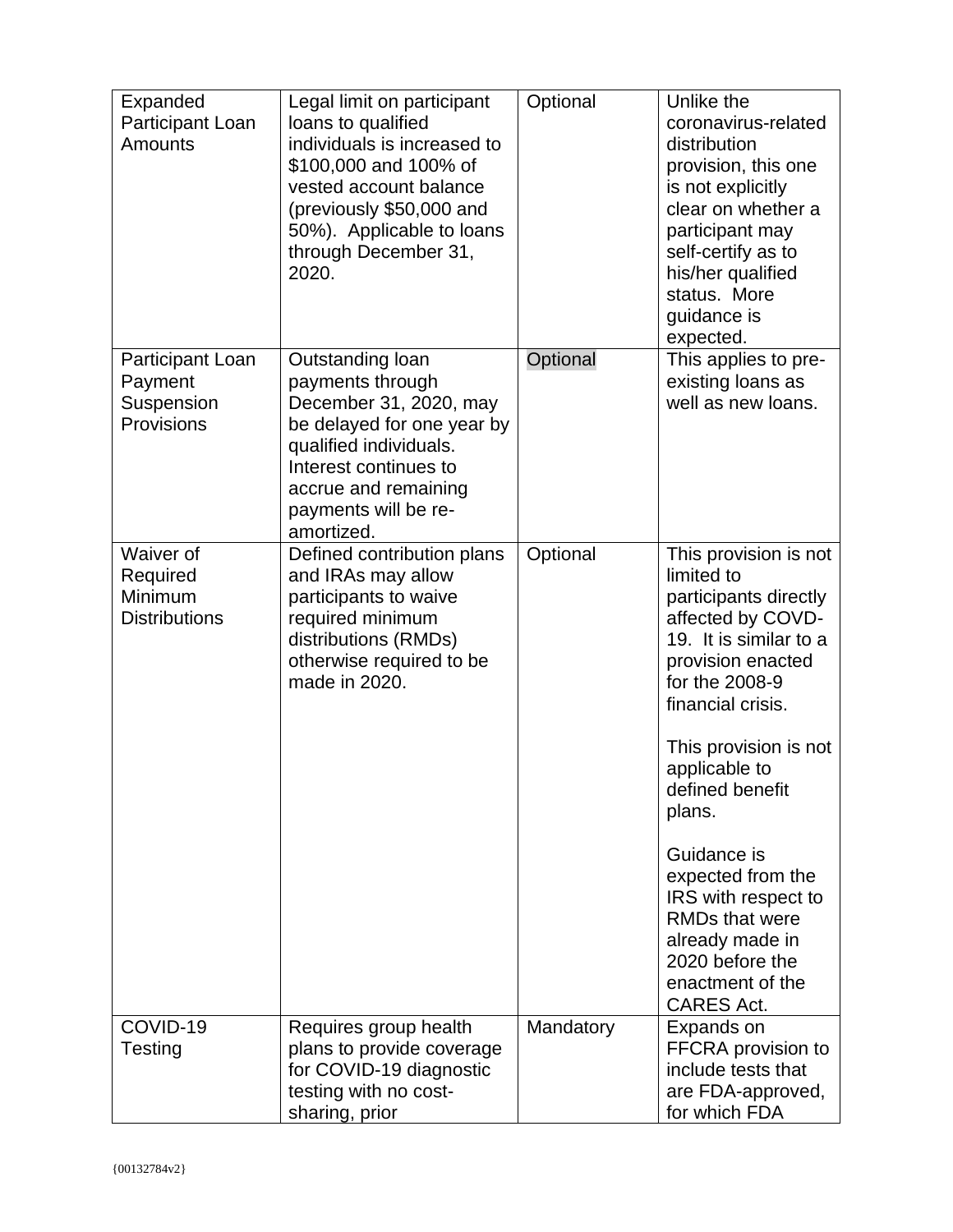| Expanded<br>Participant Loan<br><b>Amounts</b>           | Legal limit on participant<br>loans to qualified<br>individuals is increased to<br>\$100,000 and 100% of<br>vested account balance<br>(previously \$50,000 and<br>50%). Applicable to loans<br>through December 31,<br>2020. | Optional  | Unlike the<br>coronavirus-related<br>distribution<br>provision, this one<br>is not explicitly<br>clear on whether a<br>participant may<br>self-certify as to<br>his/her qualified<br>status. More<br>guidance is<br>expected.                                                                                                                                                                                     |
|----------------------------------------------------------|------------------------------------------------------------------------------------------------------------------------------------------------------------------------------------------------------------------------------|-----------|-------------------------------------------------------------------------------------------------------------------------------------------------------------------------------------------------------------------------------------------------------------------------------------------------------------------------------------------------------------------------------------------------------------------|
| Participant Loan<br>Payment<br>Suspension<br>Provisions  | Outstanding loan<br>payments through<br>December 31, 2020, may<br>be delayed for one year by<br>qualified individuals.<br>Interest continues to<br>accrue and remaining<br>payments will be re-<br>amortized.                | Optional  | This applies to pre-<br>existing loans as<br>well as new loans.                                                                                                                                                                                                                                                                                                                                                   |
| Waiver of<br>Required<br>Minimum<br><b>Distributions</b> | Defined contribution plans<br>and IRAs may allow<br>participants to waive<br>required minimum<br>distributions (RMDs)<br>otherwise required to be<br>made in 2020.                                                           | Optional  | This provision is not<br>limited to<br>participants directly<br>affected by COVD-<br>19. It is similar to a<br>provision enacted<br>for the 2008-9<br>financial crisis.<br>This provision is not<br>applicable to<br>defined benefit<br>plans.<br>Guidance is<br>expected from the<br>IRS with respect to<br><b>RMDs that were</b><br>already made in<br>2020 before the<br>enactment of the<br><b>CARES Act.</b> |
| COVID-19<br>Testing                                      | Requires group health<br>plans to provide coverage<br>for COVID-19 diagnostic<br>testing with no cost-<br>sharing, prior                                                                                                     | Mandatory | Expands on<br>FFCRA provision to<br>include tests that<br>are FDA-approved,<br>for which FDA                                                                                                                                                                                                                                                                                                                      |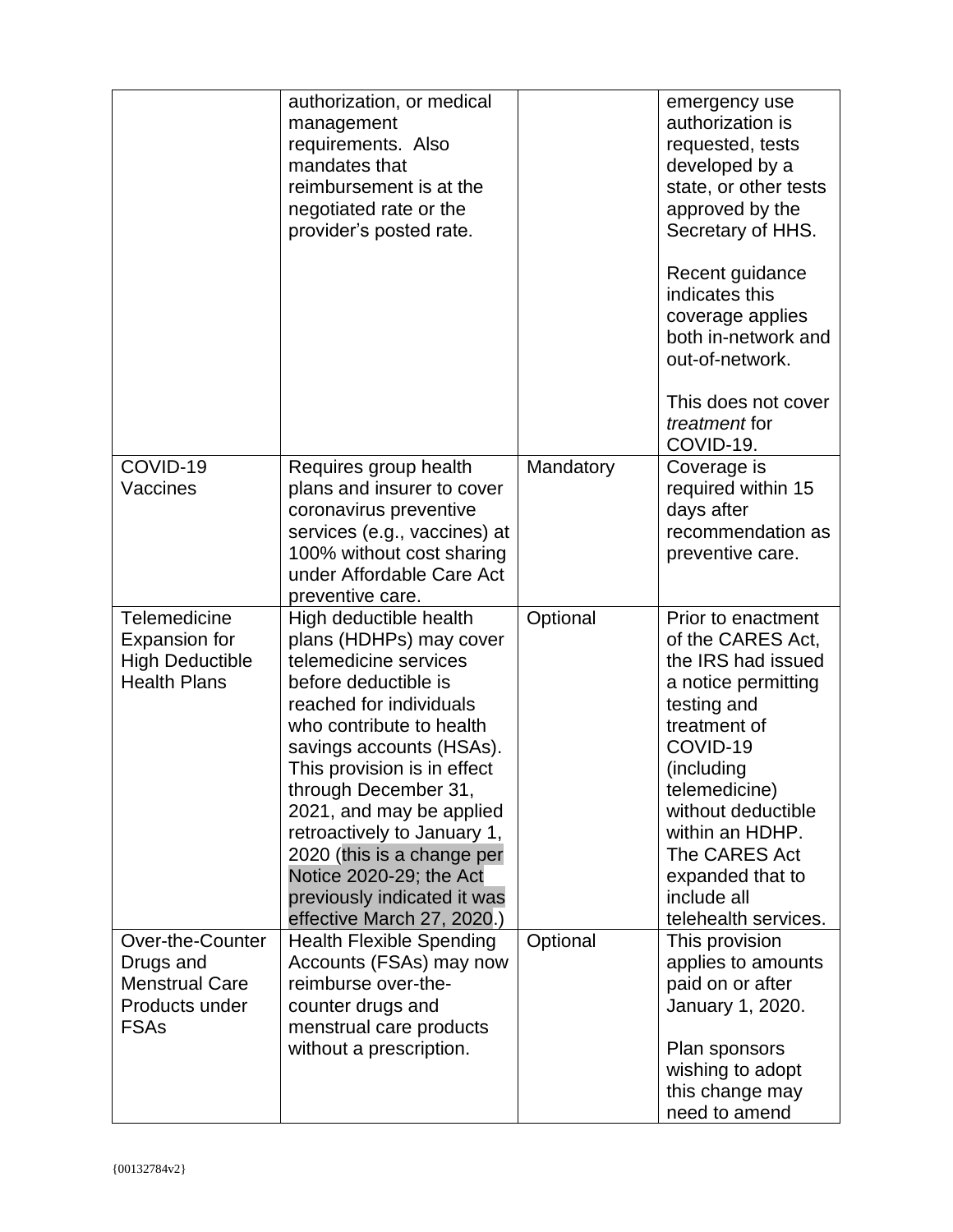|                                                                                         | authorization, or medical<br>management<br>requirements. Also<br>mandates that<br>reimbursement is at the<br>negotiated rate or the<br>provider's posted rate.                                                                                                                                                                                                                                                                |           | emergency use<br>authorization is<br>requested, tests<br>developed by a<br>state, or other tests<br>approved by the<br>Secretary of HHS.<br>Recent guidance<br>indicates this<br>coverage applies<br>both in-network and<br>out-of-network.<br>This does not cover<br>treatment for |
|-----------------------------------------------------------------------------------------|-------------------------------------------------------------------------------------------------------------------------------------------------------------------------------------------------------------------------------------------------------------------------------------------------------------------------------------------------------------------------------------------------------------------------------|-----------|-------------------------------------------------------------------------------------------------------------------------------------------------------------------------------------------------------------------------------------------------------------------------------------|
| COVID-19<br>Vaccines                                                                    | Requires group health<br>plans and insurer to cover<br>coronavirus preventive<br>services (e.g., vaccines) at<br>100% without cost sharing<br>under Affordable Care Act<br>preventive care.                                                                                                                                                                                                                                   | Mandatory | COVID-19.<br>Coverage is<br>required within 15<br>days after<br>recommendation as<br>preventive care.                                                                                                                                                                               |
| Telemedicine<br><b>Expansion for</b><br><b>High Deductible</b><br><b>Health Plans</b>   | High deductible health<br>plans (HDHPs) may cover<br>telemedicine services<br>before deductible is<br>reached for individuals<br>who contribute to health<br>savings accounts (HSAs).<br>This provision is in effect<br>through December 31,<br>2021, and may be applied<br>retroactively to January 1,<br>2020 (this is a change per<br>Notice 2020-29; the Act<br>previously indicated it was<br>effective March 27, 2020.) | Optional  | Prior to enactment<br>of the CARES Act,<br>the IRS had issued<br>a notice permitting<br>testing and<br>treatment of<br>COVID-19<br>(including<br>telemedicine)<br>without deductible<br>within an HDHP.<br>The CARES Act<br>expanded that to<br>include all<br>telehealth services. |
| Over-the-Counter<br>Drugs and<br><b>Menstrual Care</b><br>Products under<br><b>FSAs</b> | <b>Health Flexible Spending</b><br>Accounts (FSAs) may now<br>reimburse over-the-<br>counter drugs and<br>menstrual care products<br>without a prescription.                                                                                                                                                                                                                                                                  | Optional  | This provision<br>applies to amounts<br>paid on or after<br>January 1, 2020.<br>Plan sponsors<br>wishing to adopt<br>this change may<br>need to amend                                                                                                                               |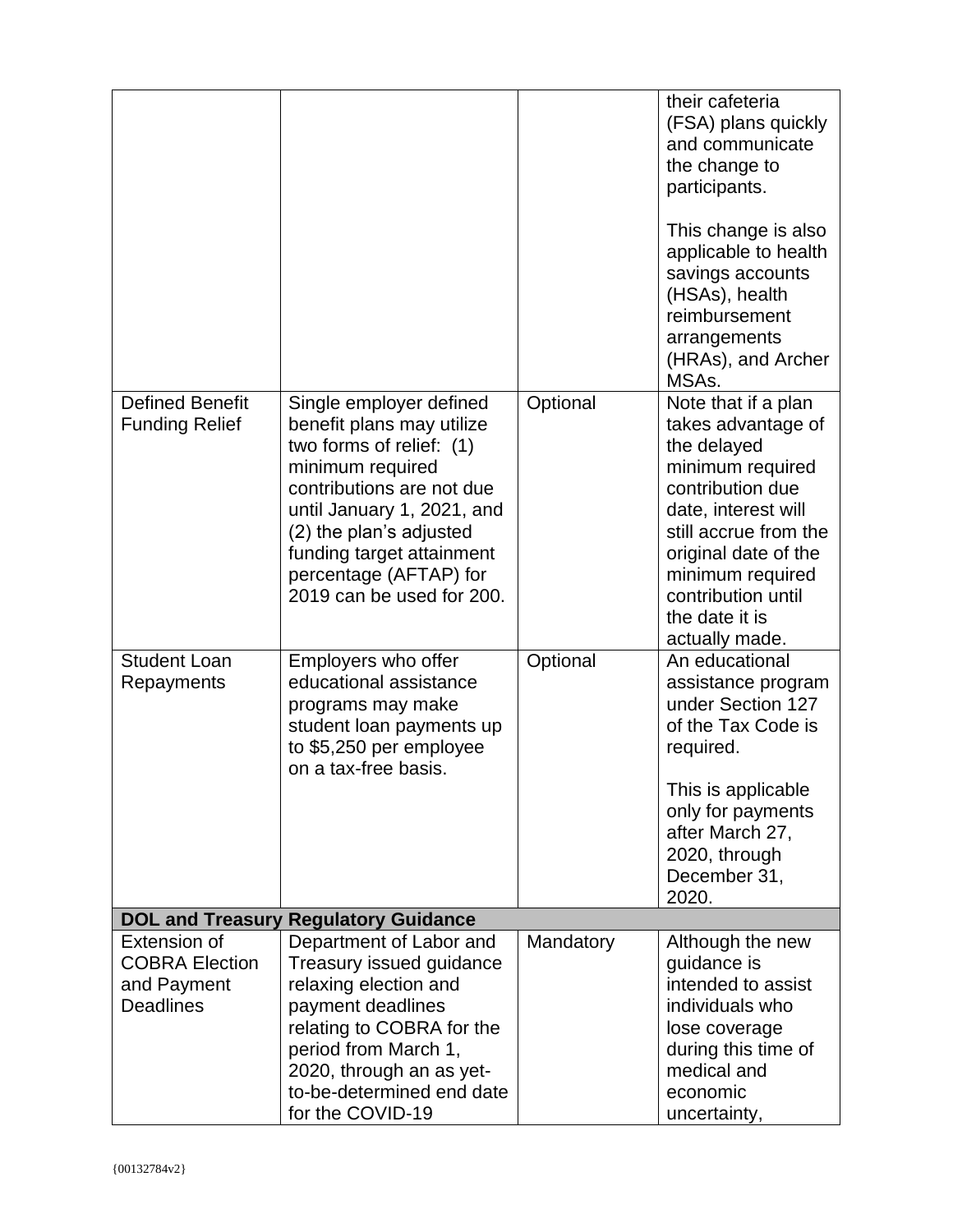|                                                                          |                                                                                                                                                                                                                                                                                |           | their cafeteria<br>(FSA) plans quickly<br>and communicate<br>the change to<br>participants.<br>This change is also<br>applicable to health<br>savings accounts<br>(HSAs), health<br>reimbursement<br>arrangements<br>(HRAs), and Archer<br>MSA <sub>s</sub> . |
|--------------------------------------------------------------------------|--------------------------------------------------------------------------------------------------------------------------------------------------------------------------------------------------------------------------------------------------------------------------------|-----------|---------------------------------------------------------------------------------------------------------------------------------------------------------------------------------------------------------------------------------------------------------------|
| <b>Defined Benefit</b><br><b>Funding Relief</b>                          | Single employer defined<br>benefit plans may utilize<br>two forms of relief: (1)<br>minimum required<br>contributions are not due<br>until January 1, 2021, and<br>(2) the plan's adjusted<br>funding target attainment<br>percentage (AFTAP) for<br>2019 can be used for 200. | Optional  | Note that if a plan<br>takes advantage of<br>the delayed<br>minimum required<br>contribution due<br>date, interest will<br>still accrue from the<br>original date of the<br>minimum required<br>contribution until<br>the date it is<br>actually made.        |
| <b>Student Loan</b><br>Repayments                                        | Employers who offer<br>educational assistance<br>programs may make<br>student loan payments up<br>to \$5,250 per employee<br>on a tax-free basis.                                                                                                                              | Optional  | An educational<br>assistance program<br>under Section 127<br>of the Tax Code is<br>required.<br>This is applicable<br>only for payments<br>after March 27,<br>2020, through<br>December 31,<br>2020.                                                          |
|                                                                          | <b>DOL and Treasury Regulatory Guidance</b>                                                                                                                                                                                                                                    |           |                                                                                                                                                                                                                                                               |
| Extension of<br><b>COBRA Election</b><br>and Payment<br><b>Deadlines</b> | Department of Labor and<br>Treasury issued guidance<br>relaxing election and<br>payment deadlines<br>relating to COBRA for the<br>period from March 1,<br>2020, through an as yet-<br>to-be-determined end date<br>for the COVID-19                                            | Mandatory | Although the new<br>guidance is<br>intended to assist<br>individuals who<br>lose coverage<br>during this time of<br>medical and<br>economic<br>uncertainty,                                                                                                   |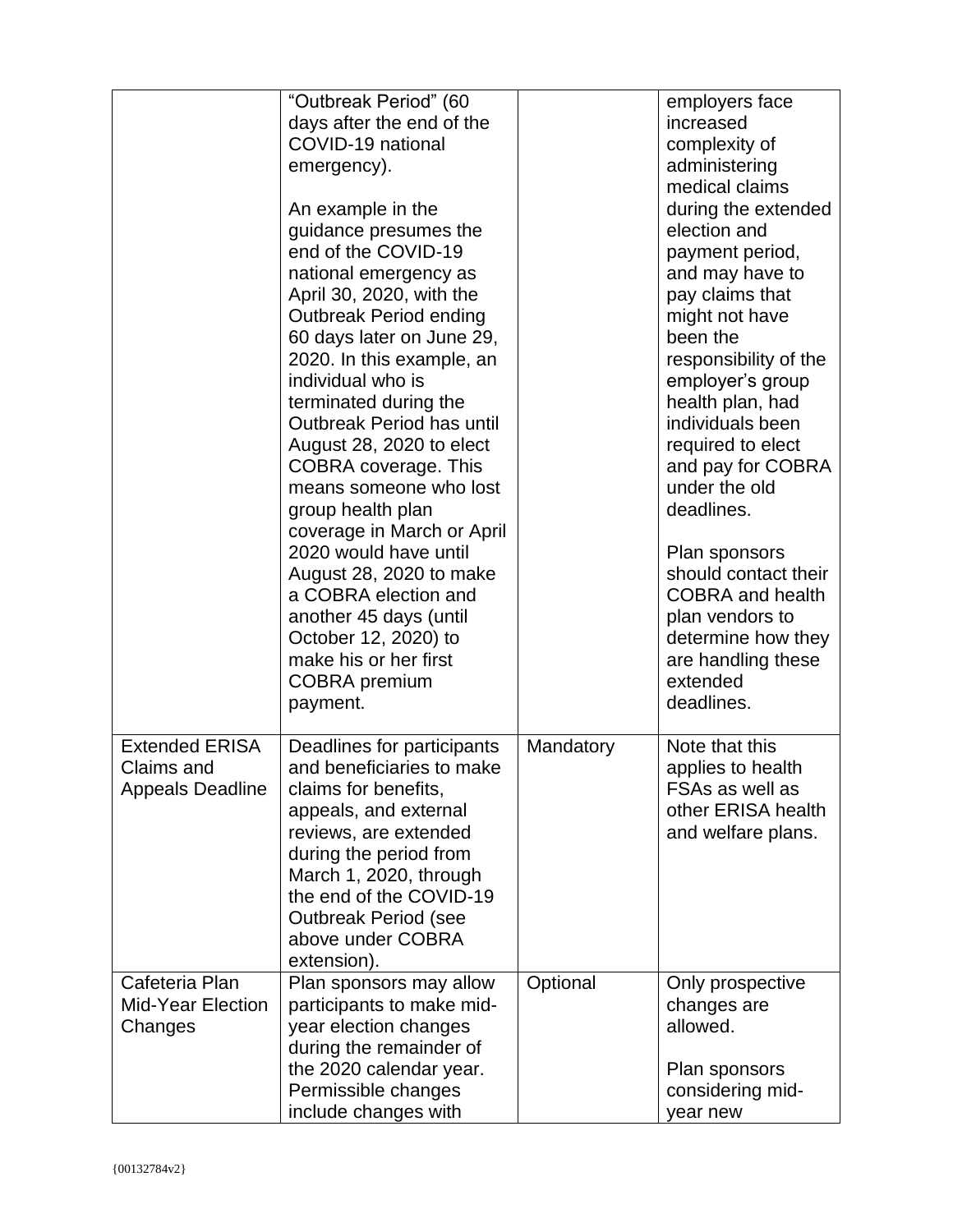|                                                                | "Outbreak Period" (60<br>days after the end of the<br>COVID-19 national<br>emergency).<br>An example in the<br>guidance presumes the<br>end of the COVID-19<br>national emergency as<br>April 30, 2020, with the<br><b>Outbreak Period ending</b><br>60 days later on June 29,<br>2020. In this example, an<br>individual who is<br>terminated during the<br>Outbreak Period has until<br>August 28, 2020 to elect<br>COBRA coverage. This<br>means someone who lost<br>group health plan<br>coverage in March or April<br>2020 would have until<br>August 28, 2020 to make<br>a COBRA election and<br>another 45 days (until |           | employers face<br>increased<br>complexity of<br>administering<br>medical claims<br>during the extended<br>election and<br>payment period,<br>and may have to<br>pay claims that<br>might not have<br>been the<br>responsibility of the<br>employer's group<br>health plan, had<br>individuals been<br>required to elect<br>and pay for COBRA<br>under the old<br>deadlines.<br>Plan sponsors<br>should contact their<br><b>COBRA and health</b><br>plan vendors to |
|----------------------------------------------------------------|-------------------------------------------------------------------------------------------------------------------------------------------------------------------------------------------------------------------------------------------------------------------------------------------------------------------------------------------------------------------------------------------------------------------------------------------------------------------------------------------------------------------------------------------------------------------------------------------------------------------------------|-----------|--------------------------------------------------------------------------------------------------------------------------------------------------------------------------------------------------------------------------------------------------------------------------------------------------------------------------------------------------------------------------------------------------------------------------------------------------------------------|
| <b>Extended ERISA</b><br>Claims and<br><b>Appeals Deadline</b> | <b>COBRA</b> premium<br>payment.<br>Deadlines for participants<br>and beneficiaries to make<br>claims for benefits,<br>appeals, and external<br>reviews, are extended<br>during the period from<br>March 1, 2020, through<br>the end of the COVID-19<br><b>Outbreak Period (see</b><br>above under COBRA<br>extension).                                                                                                                                                                                                                                                                                                       | Mandatory | extended<br>deadlines.<br>Note that this<br>applies to health<br>FSAs as well as<br>other ERISA health<br>and welfare plans.                                                                                                                                                                                                                                                                                                                                       |
| Cafeteria Plan<br><b>Mid-Year Election</b><br>Changes          | Plan sponsors may allow<br>participants to make mid-<br>year election changes<br>during the remainder of<br>the 2020 calendar year.<br>Permissible changes<br>include changes with                                                                                                                                                                                                                                                                                                                                                                                                                                            | Optional  | Only prospective<br>changes are<br>allowed.<br>Plan sponsors<br>considering mid-<br>year new                                                                                                                                                                                                                                                                                                                                                                       |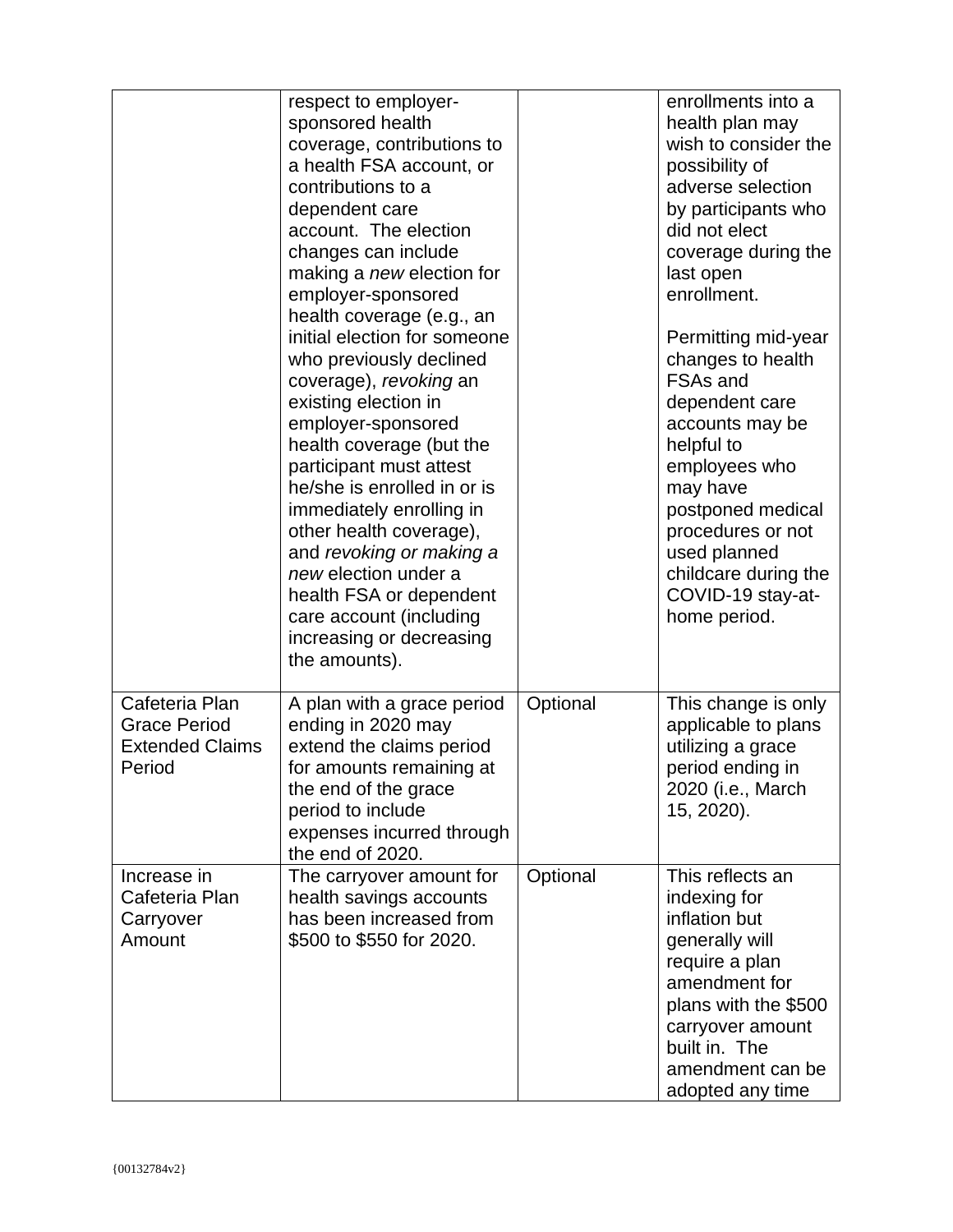|                                                                           | respect to employer-<br>sponsored health<br>coverage, contributions to<br>a health FSA account, or<br>contributions to a<br>dependent care<br>account. The election<br>changes can include<br>making a new election for<br>employer-sponsored<br>health coverage (e.g., an<br>initial election for someone<br>who previously declined<br>coverage), revoking an<br>existing election in<br>employer-sponsored<br>health coverage (but the<br>participant must attest<br>he/she is enrolled in or is<br>immediately enrolling in<br>other health coverage),<br>and revoking or making a<br>new election under a<br>health FSA or dependent<br>care account (including<br>increasing or decreasing<br>the amounts). |          | enrollments into a<br>health plan may<br>wish to consider the<br>possibility of<br>adverse selection<br>by participants who<br>did not elect<br>coverage during the<br>last open<br>enrollment.<br>Permitting mid-year<br>changes to health<br><b>FSAs and</b><br>dependent care<br>accounts may be<br>helpful to<br>employees who<br>may have<br>postponed medical<br>procedures or not<br>used planned<br>childcare during the<br>COVID-19 stay-at-<br>home period. |
|---------------------------------------------------------------------------|-------------------------------------------------------------------------------------------------------------------------------------------------------------------------------------------------------------------------------------------------------------------------------------------------------------------------------------------------------------------------------------------------------------------------------------------------------------------------------------------------------------------------------------------------------------------------------------------------------------------------------------------------------------------------------------------------------------------|----------|-----------------------------------------------------------------------------------------------------------------------------------------------------------------------------------------------------------------------------------------------------------------------------------------------------------------------------------------------------------------------------------------------------------------------------------------------------------------------|
| Cafeteria Plan<br><b>Grace Period</b><br><b>Extended Claims</b><br>Period | A plan with a grace period<br>ending in 2020 may<br>extend the claims period<br>for amounts remaining at<br>the end of the grace<br>period to include<br>expenses incurred through<br>the end of 2020.                                                                                                                                                                                                                                                                                                                                                                                                                                                                                                            | Optional | This change is only<br>applicable to plans<br>utilizing a grace<br>period ending in<br>2020 (i.e., March<br>15, 2020).                                                                                                                                                                                                                                                                                                                                                |
| Increase in<br>Cafeteria Plan<br>Carryover<br>Amount                      | The carryover amount for<br>health savings accounts<br>has been increased from<br>\$500 to \$550 for 2020.                                                                                                                                                                                                                                                                                                                                                                                                                                                                                                                                                                                                        | Optional | This reflects an<br>indexing for<br>inflation but<br>generally will<br>require a plan<br>amendment for<br>plans with the \$500<br>carryover amount<br>built in. The<br>amendment can be<br>adopted any time                                                                                                                                                                                                                                                           |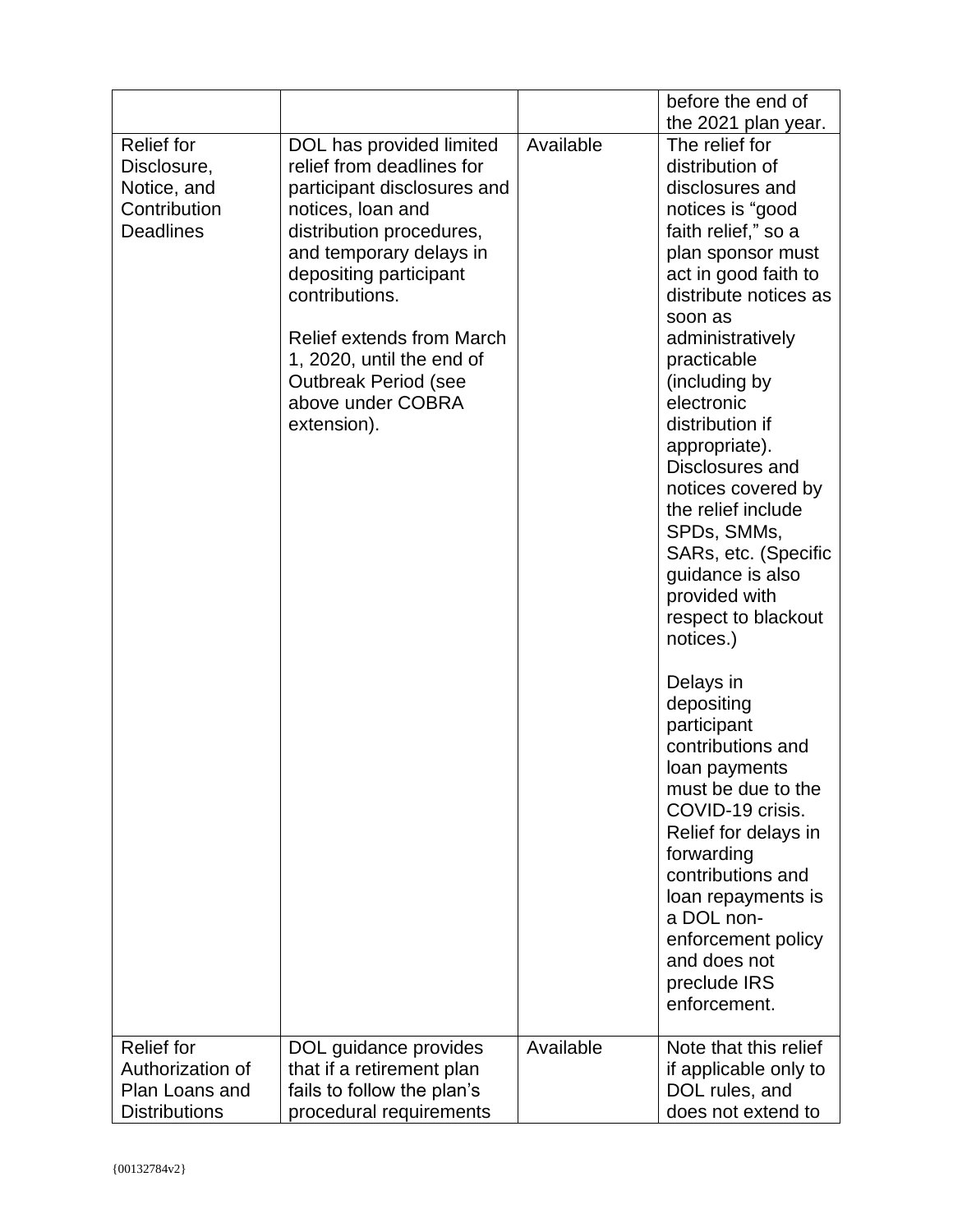|                                                                                     |                                                                                                                                                                                                                                                                                                                                           |           | before the end of                                                                                                                                                                                                                                                                                                                                                                                                                                                                                                                                                                                                                                                                                                                                                    |
|-------------------------------------------------------------------------------------|-------------------------------------------------------------------------------------------------------------------------------------------------------------------------------------------------------------------------------------------------------------------------------------------------------------------------------------------|-----------|----------------------------------------------------------------------------------------------------------------------------------------------------------------------------------------------------------------------------------------------------------------------------------------------------------------------------------------------------------------------------------------------------------------------------------------------------------------------------------------------------------------------------------------------------------------------------------------------------------------------------------------------------------------------------------------------------------------------------------------------------------------------|
|                                                                                     |                                                                                                                                                                                                                                                                                                                                           |           | the 2021 plan year.                                                                                                                                                                                                                                                                                                                                                                                                                                                                                                                                                                                                                                                                                                                                                  |
| <b>Relief for</b><br>Disclosure,<br>Notice, and<br>Contribution<br><b>Deadlines</b> | DOL has provided limited<br>relief from deadlines for<br>participant disclosures and<br>notices, loan and<br>distribution procedures,<br>and temporary delays in<br>depositing participant<br>contributions.<br>Relief extends from March<br>1, 2020, until the end of<br><b>Outbreak Period (see</b><br>above under COBRA<br>extension). | Available | The relief for<br>distribution of<br>disclosures and<br>notices is "good<br>faith relief," so a<br>plan sponsor must<br>act in good faith to<br>distribute notices as<br>soon as<br>administratively<br>practicable<br>(including by<br>electronic<br>distribution if<br>appropriate).<br>Disclosures and<br>notices covered by<br>the relief include<br>SPDs, SMMs,<br>SARs, etc. (Specific<br>guidance is also<br>provided with<br>respect to blackout<br>notices.)<br>Delays in<br>depositing<br>participant<br>contributions and<br>loan payments<br>must be due to the<br>COVID-19 crisis.<br>Relief for delays in<br>forwarding<br>contributions and<br>loan repayments is<br>a DOL non-<br>enforcement policy<br>and does not<br>preclude IRS<br>enforcement. |
|                                                                                     |                                                                                                                                                                                                                                                                                                                                           |           |                                                                                                                                                                                                                                                                                                                                                                                                                                                                                                                                                                                                                                                                                                                                                                      |
| <b>Relief for</b><br>Authorization of                                               | DOL guidance provides                                                                                                                                                                                                                                                                                                                     | Available | Note that this relief                                                                                                                                                                                                                                                                                                                                                                                                                                                                                                                                                                                                                                                                                                                                                |
| Plan Loans and                                                                      | that if a retirement plan                                                                                                                                                                                                                                                                                                                 |           | if applicable only to                                                                                                                                                                                                                                                                                                                                                                                                                                                                                                                                                                                                                                                                                                                                                |
|                                                                                     | fails to follow the plan's                                                                                                                                                                                                                                                                                                                |           | DOL rules, and                                                                                                                                                                                                                                                                                                                                                                                                                                                                                                                                                                                                                                                                                                                                                       |
| <b>Distributions</b>                                                                | procedural requirements                                                                                                                                                                                                                                                                                                                   |           | does not extend to                                                                                                                                                                                                                                                                                                                                                                                                                                                                                                                                                                                                                                                                                                                                                   |